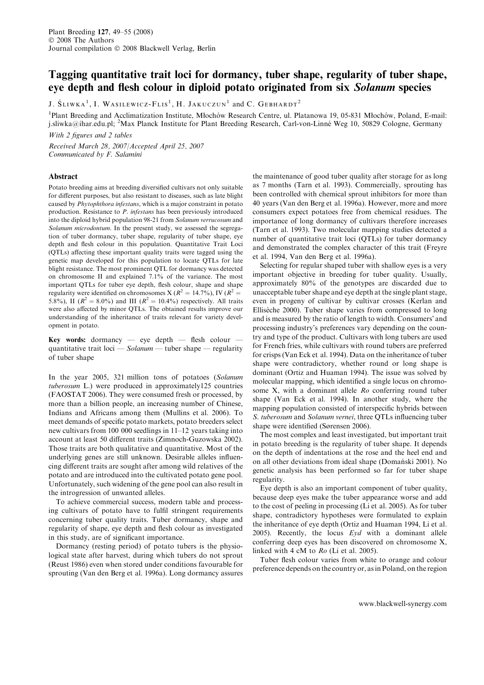# Tagging quantitative trait loci for dormancy, tuber shape, regularity of tuber shape, eye depth and flesh colour in diploid potato originated from six Solanum species

J.  $S_{\text{LIWKA}}^{-1}$ , I. Wasilewicz-Flis<sup>1</sup>, H. Jakuczun<sup>1</sup> and C. Gebhardt<sup>2</sup>

<sup>1</sup>Plant Breeding and Acclimatization Institute, Młochów Research Centre, ul. Platanowa 19, 05-831 Młochów, Poland, E-mail: j.sliwka@ihar.edu.pl; <sup>2</sup>Max Planck Institute for Plant Breeding Research, Carl-von-Linné Weg 10, 50829 Cologne, Germany

With 2 figures and 2 tables

Received March 28, 2007/Accepted April 25, 2007 Communicated by F. Salamini

## Abstract

Potato breeding aims at breeding diversified cultivars not only suitable for different purposes, but also resistant to diseases, such as late blight caused by Phytophthora infestans, which is a major constraint in potato production. Resistance to P. infestans has been previously introduced into the diploid hybrid population 98-21 from Solanum verrucosum and Solanum microdontum. In the present study, we assessed the segregation of tuber dormancy, tuber shape, regularity of tuber shape, eye depth and flesh colour in this population. Quantitative Trait Loci (QTLs) affecting these important quality traits were tagged using the genetic map developed for this population to locate QTLs for late blight resistance. The most prominent QTL for dormancy was detected on chromosome II and explained 7.1% of the variance. The most important QTLs for tuber eye depth, flesh colour, shape and shape regularity were identified on chromosomes X ( $R^2 = 14.7\%$ ), IV ( $R^2 =$ 5.8%), II ( $R^2 = 8.0\%$ ) and III ( $R^2 = 10.4\%$ ) respectively. All traits were also affected by minor QTLs. The obtained results improve our understanding of the inheritance of traits relevant for variety development in potato.

Key words: dormancy  $-$  eye depth  $-$  flesh colour  $$ quantitative trait loci —  $Solution$  — tuber shape — regularity of tuber shape

In the year 2005, 321 million tons of potatoes (Solanum tuberosum L.) were produced in approximately125 countries (FAOSTAT 2006). They were consumed fresh or processed, by more than a billion people, an increasing number of Chinese, Indians and Africans among them (Mullins et al. 2006). To meet demands of specific potato markets, potato breeders select new cultivars from 100 000 seedlings in 11–12 years taking into account at least 50 different traits (Zimnoch-Guzowska 2002). Those traits are both qualitative and quantitative. Most of the underlying genes are still unknown. Desirable alleles influencing different traits are sought after among wild relatives of the potato and are introduced into the cultivated potato gene pool. Unfortunately, such widening of the gene pool can also result in the introgression of unwanted alleles.

To achieve commercial success, modern table and processing cultivars of potato have to fulfil stringent requirements concerning tuber quality traits. Tuber dormancy, shape and regularity of shape, eye depth and flesh colour as investigated in this study, are of significant importance.

Dormancy (resting period) of potato tubers is the physiological state after harvest, during which tubers do not sprout (Reust 1986) even when stored under conditions favourable for sprouting (Van den Berg et al. 1996a). Long dormancy assures the maintenance of good tuber quality after storage for as long as 7 months (Tarn et al. 1993). Commercially, sprouting has been controlled with chemical sprout inhibitors for more than 40 years (Van den Berg et al. 1996a). However, more and more consumers expect potatoes free from chemical residues. The importance of long dormancy of cultivars therefore increases (Tarn et al. 1993). Two molecular mapping studies detected a number of quantitative trait loci (QTLs) for tuber dormancy and demonstrated the complex character of this trait (Freyre et al. 1994, Van den Berg et al. 1996a).

Selecting for regular shaped tuber with shallow eyes is a very important objective in breeding for tuber quality. Usually, approximately 80% of the genotypes are discarded due to unacceptable tuber shape and eye depth at the single plant stage, even in progeny of cultivar by cultivar crosses (Kerlan and Ellisèche 2000). Tuber shape varies from compressed to long and is measured by the ratio of length to width. Consumers' and processing industry's preferences vary depending on the country and type of the product. Cultivars with long tubers are used for French fries, while cultivars with round tubers are preferred for crisps (Van Eck et al. 1994). Data on the inheritance of tuber shape were contradictory, whether round or long shape is dominant (Ortiz and Huaman 1994). The issue was solved by molecular mapping, which identified a single locus on chromosome X, with a dominant allele Ro conferring round tuber shape (Van Eck et al. 1994). In another study, where the mapping population consisted of interspecific hybrids between S. tuberosum and Solanum vernei, three QTLs influencing tuber shape were identified (Sørensen 2006).

The most complex and least investigated, but important trait in potato breeding is the regularity of tuber shape. It depends on the depth of indentations at the rose and the heel end and on all other deviations from ideal shape (Doman´ski 2001). No genetic analysis has been performed so far for tuber shape regularity.

Eye depth is also an important component of tuber quality, because deep eyes make the tuber appearance worse and add to the cost of peeling in processing (Li et al. 2005). As for tuber shape, contradictory hypotheses were formulated to explain the inheritance of eye depth (Ortiz and Huaman 1994, Li et al. 2005). Recently, the locus  $Eyd$  with a dominant allele conferring deep eyes has been discovered on chromosome X, linked with 4 cM to Ro (Li et al. 2005).

Tuber flesh colour varies from white to orange and colour preference depends on the country or, as in Poland, on the region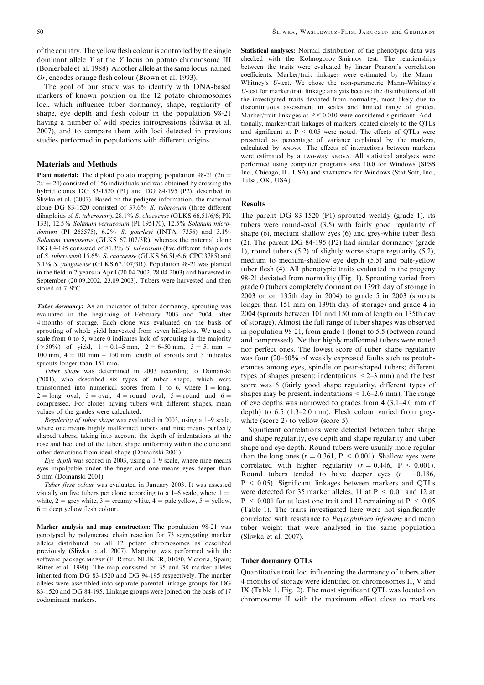of the country. The yellow flesh colour is controlled by the single dominant allele Y at the Y locus on potato chromosome III (Bonierbale et al. 1988). Another allele at the same locus, named Or, encodes orange flesh colour (Brown et al. 1993).

The goal of our study was to identify with DNA-based markers of known position on the 12 potato chromosomes loci, which influence tuber dormancy, shape, regularity of shape, eye depth and flesh colour in the population 98-21 having a number of wild species introgressions (Sliwka et al.) 2007), and to compare them with loci detected in previous studies performed in populations with different origins.

# Materials and Methods

**Plant material:** The diploid potato mapping population 98-21 (2n =  $2x = 24$ ) consisted of 156 individuals and was obtained by crossing the hybrid clones DG 83-1520 (P1) and DG 84-195 (P2), described in Sliwka et al.  $(2007)$ . Based on the pedigree information, the maternal clone DG 83-1520 consisted of 37.6% S. tuberosum (three different dihaploids of S. tuberosum), 28.1% S. chacoense (GLKS 66.51/6/6; PK 133), 12.5% Solanum verrucosum (PI 195170), 12.5% Solanum microdontum (PI 265575), 6.2% S. gourlayi (INTA. 7356) and 3.1% Solanum vungasense (GLKS 67.107/3R), whereas the paternal clone DG 84-195 consisted of 81.3% S. tuberosum (five different dihaploids of S. tuberosum) 15.6% S. chacoense (GLKS 66.51/6/6; CPC 3785) and 3.1% S. yungasense (GLKS 67.107/3R). Population 98-21 was planted in the field in 2 years in April (20.04.2002, 28.04.2003) and harvested in September (20.09.2002, 23.09.2003). Tubers were harvested and then stored at  $7 - 9$ °C.

Tuber dormancy: As an indicator of tuber dormancy, sprouting was evaluated in the beginning of February 2003 and 2004, after 4 months of storage. Each clone was evaluated on the basis of sprouting of whole yield harvested from seven hill-plots. We used a scale from 0 to 5, where 0 indicates lack of sprouting in the majority  $(>50\%)$  of yield,  $1 = 0.1-5$  mm,  $2 = 6-50$  mm,  $3 = 51$  mm 100 mm,  $4 = 101$  mm – 150 mm length of sprouts and 5 indicates sprouts longer than 151 mm.

Tuber shape was determined in 2003 according to Domanski (2001), who described six types of tuber shape, which were transformed into numerical scores from 1 to 6, where  $1 = \text{long}$ ,  $2 = \text{long}$  oval,  $3 = \text{oval}$ ,  $4 = \text{round}$  oval,  $5 = \text{round}$  and  $6 = \frac{2}{3}$ compressed. For clones having tubers with different shapes, mean values of the grades were calculated.

Regularity of tuber shape was evaluated in 2003, using a 1–9 scale, where one means highly malformed tubers and nine means perfectly shaped tubers, taking into account the depth of indentations at the rose and heel end of the tuber, shape uniformity within the clone and other deviations from ideal shape (Domański 2001).

Eye depth was scored in 2003, using a 1–9 scale, where nine means eyes impalpable under the finger and one means eyes deeper than 5 mm (Domański 2001).

Tuber flesh colour was evaluated in January 2003. It was assessed visually on five tubers per clone according to a  $1-6$  scale, where  $1 =$ white,  $2 = \text{grey white}$ ,  $3 = \text{creamy white}$ ,  $4 = \text{pale yellow}$ ,  $5 = \text{yellow}$ ,  $6 =$  deep yellow flesh colour.

Marker analysis and map construction: The population 98-21 was genotyped by polymerase chain reaction for 73 segregating marker alleles distributed on all 12 potato chromosomes as described previously (Silwka et al. 2007). Mapping was performed with the software package MAPRF (E. Ritter, NEIKER, 01080, Victoria, Spain; Ritter et al. 1990). The map consisted of 35 and 38 marker alleles inherited from DG 83-1520 and DG 94-195 respectively. The marker alleles were assembled into separate parental linkage groups for DG 83-1520 and DG 84-195. Linkage groups were joined on the basis of 17 codominant markers.

Statistical analyses: Normal distribution of the phenotypic data was checked with the Kolmogorov–Smirnov test. The relationships between the traits were evaluated by linear Pearson's correlation coefficients. Marker/trait linkages were estimated by the Mann– Whitney's U-test. We chose the non-parametric Mann–Whitney's U-test for marker/trait linkage analysis because the distributions of all the investigated traits deviated from normality, most likely due to discontinuous assessment in scales and limited range of grades. Marker/trait linkages at  $P \le 0.010$  were considered significant. Additionally, marker/trait linkages of markers located closely to the QTLs and significant at  $P < 0.05$  were noted. The effects of QTLs were presented as percentage of variance explained by the markers, calculated by ANOVA. The effects of interactions between markers were estimated by a two-way ANOVA. All statistical analyses were performed using computer programs SPSS 10.0 for Windows (SPSS Inc., Chicago, IL, USA) and STATISTICA for Windows (Stat Soft, Inc., Tulsa, OK, USA).

#### Results

The parent DG 83-1520 (P1) sprouted weakly (grade 1), its tubers were round-oval (3.5) with fairly good regularity of shape (6), medium shallow eyes (6) and grey-white tuber flesh (2). The parent DG 84-195 (P2) had similar dormancy (grade 1), round tubers (5.2) of slightly worse shape regularity (5.2), medium to medium-shallow eye depth (5.5) and pale-yellow tuber flesh (4). All phenotypic traits evaluated in the progeny 98-21 deviated from normality (Fig. 1). Sprouting varied from grade 0 (tubers completely dormant on 139th day of storage in 2003 or on 135th day in 2004) to grade 5 in 2003 (sprouts longer than 151 mm on 139th day of storage) and grade 4 in 2004 (sprouts between 101 and 150 mm of length on 135th day of storage). Almost the full range of tuber shapes was observed in population 98-21, from grade 1 (long) to 5.5 (between round and compressed). Neither highly malformed tubers were noted nor perfect ones. The lowest score of tuber shape regularity was four (20–50% of weakly expressed faults such as protuberances among eyes, spindle or pear-shaped tubers; different types of shapes present; indentations  $\leq$  2–3 mm) and the best score was 6 (fairly good shape regularity, different types of shapes may be present, indentations  $\leq 1.6-2.6$  mm). The range of eye depths was narrowed to grades from 4 (3.1–4.0 mm of depth) to 6.5 (1.3–2.0 mm). Flesh colour varied from greywhite (score 2) to yellow (score 5).

Significant correlations were detected between tuber shape and shape regularity, eye depth and shape regularity and tuber shape and eye depth. Round tubers were usually more regular than the long ones ( $r = 0.361$ ,  $P \le 0.001$ ). Shallow eyes were correlated with higher regularity ( $r = 0.446$ ,  $P < 0.001$ ). Round tubers tended to have deeper eyes  $(r = -0.186,$ P < 0.05). Significant linkages between markers and QTLs were detected for 35 marker alleles, 11 at P < 0.01 and 12 at  $P < 0.001$  for at least one trait and 12 remaining at  $P < 0.05$ (Table 1). The traits investigated here were not significantly correlated with resistance to Phytophthora infestans and mean tuber weight that were analysed in the same population  $(Sliwka et al. 2007)$ .

#### Tuber dormancy QTLs

Quantitative trait loci influencing the dormancy of tubers after 4 months of storage were identified on chromosomes II, V and IX (Table 1, Fig. 2). The most significant QTL was located on chromosome II with the maximum effect close to markers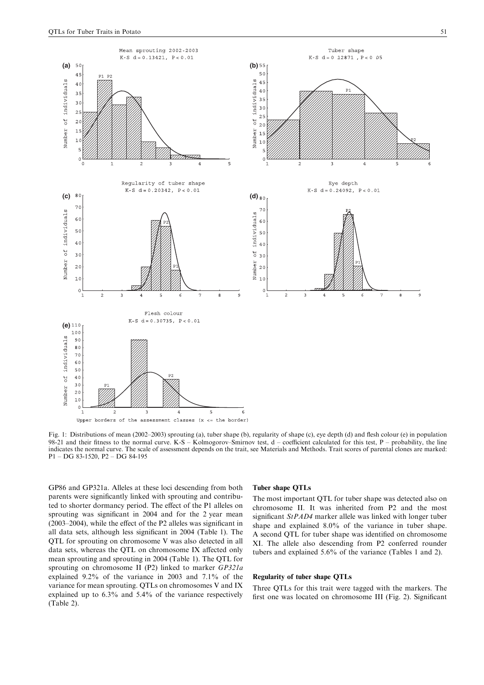

Upper borders of the assessment classes  $(x \leq t$  the border)

Fig. 1: Distributions of mean (2002–2003) sprouting (a), tuber shape (b), regularity of shape (c), eye depth (d) and flesh colour (e) in population 98-21 and their fitness to the normal curve. K-S – Kolmogorov–Smirnov test, d – coefficient calculated for this test, P – probability, the line indicates the normal curve. The scale of assessment depends on the trait, see Materials and Methods. Trait scores of parental clones are marked: P1 – DG 83-1520, P2 – DG 84-195

GP86 and GP321a. Alleles at these loci descending from both parents were significantly linked with sprouting and contributed to shorter dormancy period. The effect of the P1 alleles on sprouting was significant in 2004 and for the 2 year mean (2003–2004), while the effect of the P2 alleles was significant in all data sets, although less significant in 2004 (Table 1). The QTL for sprouting on chromosome V was also detected in all data sets, whereas the QTL on chromosome IX affected only mean sprouting and sprouting in 2004 (Table 1). The QTL for sprouting on chromosome II (P2) linked to marker GP321a explained 9.2% of the variance in 2003 and 7.1% of the variance for mean sprouting. QTLs on chromosomes V and IX explained up to 6.3% and 5.4% of the variance respectively (Table 2).

#### Tuber shape QTLs

The most important QTL for tuber shape was detected also on chromosome II. It was inherited from P2 and the most significant StPAD4 marker allele was linked with longer tuber shape and explained 8.0% of the variance in tuber shape. A second QTL for tuber shape was identified on chromosome XI. The allele also descending from P2 conferred rounder tubers and explained 5.6% of the variance (Tables 1 and 2).

## Regularity of tuber shape QTLs

Three QTLs for this trait were tagged with the markers. The first one was located on chromosome III (Fig. 2). Significant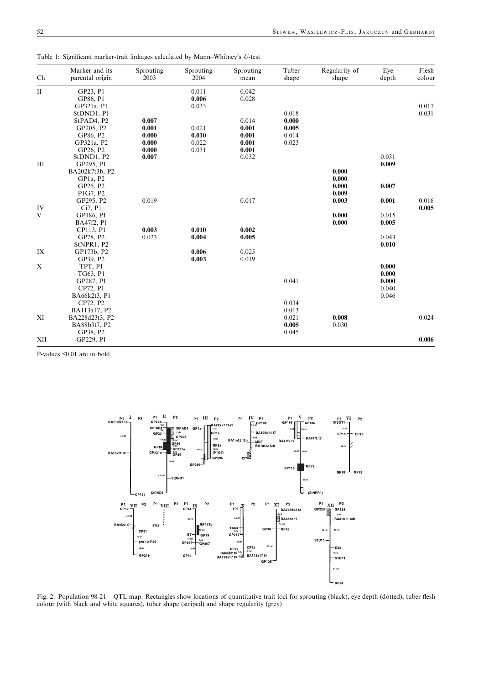| Ch           | Marker and its<br>parental origin | Sprouting<br>2003 | Sprouting<br>2004 | Sprouting<br>mean | Tuber<br>shape | Regularity of<br>shape | Eve<br>depth | Flesh<br>colour |
|--------------|-----------------------------------|-------------------|-------------------|-------------------|----------------|------------------------|--------------|-----------------|
| $\mathbf{I}$ | GP23, P1                          |                   | 0.011             | 0.042             |                |                        |              |                 |
|              | GP86, P1                          |                   | 0.006             | 0.028             |                |                        |              |                 |
|              | GP321a, P1                        |                   | 0.033             |                   |                |                        |              | 0.017           |
|              | StDND1, P1                        |                   |                   |                   | 0.018          |                        |              | 0.031           |
|              | StPAD4, P2                        | 0.007             |                   | 0.014             | 0.000          |                        |              |                 |
|              | GP205, P2                         | 0.001             | 0.021             | 0.001             | 0.005          |                        |              |                 |
|              | GP86, P2                          | 0.000             | 0.010             | 0.001             | 0.014          |                        |              |                 |
|              | GP321a, P2                        | 0.000             | 0.022             | 0.001             | 0.023          |                        |              |                 |
|              | GP26, P2                          | 0.000             | 0.031             | 0.001             |                |                        |              |                 |
|              | StDND1, P2                        | 0.007             |                   | 0.032             |                |                        | 0.031        |                 |
| III          | GP295, P1                         |                   |                   |                   |                |                        | 0.009        |                 |
|              | BA202k7t3b, P2                    |                   |                   |                   |                | 0.000                  |              |                 |
|              | GP <sub>1</sub> a, P <sub>2</sub> |                   |                   |                   |                | 0.000                  |              |                 |
|              | GP25, P2                          |                   |                   |                   |                | 0.000                  | 0.007        |                 |
|              | P1G7, P2                          |                   |                   |                   |                | 0.009                  |              |                 |
|              | GP295, P2                         | 0.019             |                   | 0.017             |                | 0.003                  | 0.001        | 0.016           |
| IV           | Ci7, P1                           |                   |                   |                   |                |                        |              | 0.005           |
| V            | GP186, P1                         |                   |                   |                   |                | 0.000                  | 0.015        |                 |
|              | BA47f2, P1                        |                   |                   |                   |                | 0.000                  | 0.005        |                 |
|              | CP113, P1                         | 0.003             | 0.010             | 0.002             |                |                        |              |                 |
|              | GP78, P2                          | 0.023             | 0.004             | 0.005             |                |                        | 0.043        |                 |
|              | StNPR1, P2                        |                   |                   |                   |                |                        | 0.010        |                 |
| IX           | GP173b, P2                        |                   | 0.006             | 0.025             |                |                        |              |                 |
|              | GP39, P2                          |                   | 0.003             | 0.019             |                |                        |              |                 |
| X            | TPT, P1                           |                   |                   |                   |                |                        | 0.000        |                 |
|              | TG63, P1                          |                   |                   |                   |                |                        | 0.000        |                 |
|              | GP287, P1                         |                   |                   |                   | 0.041          |                        | 0.000        |                 |
|              | CP72, P1                          |                   |                   |                   |                |                        | 0.040        |                 |
|              | BA66k2t3, P1                      |                   |                   |                   |                |                        | 0.046        |                 |
|              | CP72, P2                          |                   |                   |                   | 0.034          |                        |              |                 |
|              | BA113a17, P2                      |                   |                   |                   | 0.013          |                        |              |                 |
| XI           | BA228d23t3, P2                    |                   |                   |                   | 0.021          | 0.008                  |              | 0.024           |
|              | BA88b3t7, P2                      |                   |                   |                   | 0.005          | 0.030                  |              |                 |
|              | GP38, P2                          |                   |                   |                   | 0.045          |                        |              |                 |
| XII          | GP229, P1                         |                   |                   |                   |                |                        |              | 0.006           |

Table 1: Significant marker-trait linkages calculated by Mann–Whitney's U-test

P-values  $\leq 0.01$  are in bold.



Fig. 2: Population 98-21 – QTL map. Rectangles show locations of quantitative trait loci for sprouting (black), eye depth (dotted), tuber flesh colour (with black and white squares), tuber shape (striped) and shape regularity (grey)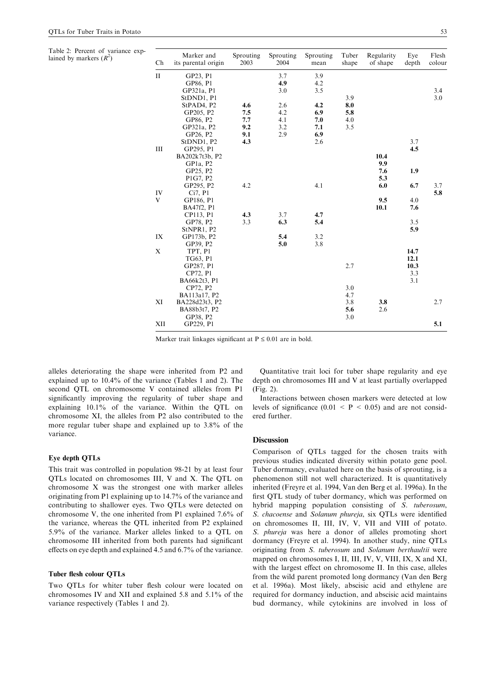Table 2: Percent of variance explained by markers  $(R^2)$  $\sim$  Ch

| Ch           | Marker and<br>its parental origin | Sprouting<br>2003 | Sprouting<br>2004 | Sprouting<br>mean | Tuber<br>shape | Regularity<br>of shape | Eye<br>depth | Flesh<br>colour |
|--------------|-----------------------------------|-------------------|-------------------|-------------------|----------------|------------------------|--------------|-----------------|
| $\mathbf{I}$ | GP23, P1                          |                   | 3.7               | 3.9               |                |                        |              |                 |
|              | GP86, P1                          |                   | 4.9               | 4.2               |                |                        |              |                 |
|              | GP321a, P1                        |                   | 3.0               | 3.5               |                |                        |              | 3.4             |
|              | StDND1, P1                        |                   |                   |                   | 3.9            |                        |              | 3.0             |
|              | StPAD4, P2                        | 4.6               | 2.6               | 4.2               | 8.0            |                        |              |                 |
|              | GP205, P2                         | 7.5               | 4.2               | 6.9               | 5.8            |                        |              |                 |
|              | GP86, P2                          | 7.7               | 4.1               | 7.0               | 4.0            |                        |              |                 |
|              | GP321a, P2                        | 9.2               | 3.2               | 7.1               | 3.5            |                        |              |                 |
|              | GP26, P2                          | 9.1               | 2.9               | 6.9               |                |                        |              |                 |
|              | StDND1, P2                        | 4.3               |                   | 2.6               |                |                        | 3.7          |                 |
| III          | GP295, P1                         |                   |                   |                   |                |                        | 4.5          |                 |
|              | BA202k7t3b, P2                    |                   |                   |                   |                | 10.4                   |              |                 |
|              | GP <sub>1</sub> a, P <sub>2</sub> |                   |                   |                   |                | 9.9                    |              |                 |
|              | GP25, P2                          |                   |                   |                   |                | 7.6                    | 1.9          |                 |
|              | P1G7, P2                          |                   |                   |                   |                | 5.3                    |              |                 |
|              | GP295, P2                         | 4.2               |                   | 4.1               |                | 6.0                    | 6.7          | 3.7             |
| IV           | Ci7, P1                           |                   |                   |                   |                |                        |              | 5.8             |
| V            | GP186, P1                         |                   |                   |                   |                | 9.5                    | 4.0          |                 |
|              | BA47f2, P1                        |                   |                   |                   |                | 10.1                   | 7.6          |                 |
|              | CP113, P1                         | 4.3               | 3.7               | 4.7               |                |                        |              |                 |
|              | GP78, P2                          | 3.3               | 6.3               | 5.4               |                |                        | 3.5          |                 |
|              | StNPR1, P2                        |                   |                   |                   |                |                        | 5.9          |                 |
| IX           | GP173b, P2                        |                   | 5.4               | 3.2               |                |                        |              |                 |
|              | GP39, P2                          |                   | 5.0               | 3.8               |                |                        |              |                 |
| X            | TPT, P1                           |                   |                   |                   |                |                        | 14.7         |                 |
|              | TG63, P1                          |                   |                   |                   |                |                        | 12.1<br>10.3 |                 |
|              | GP287, P1                         |                   |                   |                   | 2.7            |                        |              |                 |
|              | CP72, P1                          |                   |                   |                   |                |                        | 3.3<br>3.1   |                 |
|              | BA66k2t3, P1                      |                   |                   |                   | 3.0            |                        |              |                 |
|              | CP72, P2                          |                   |                   |                   | 4.7            |                        |              |                 |
| XI           | BA113a17, P2<br>BA228d23t3, P2    |                   |                   |                   | 3.8            | 3.8                    |              | 2.7             |
|              | BA88b3t7, P2                      |                   |                   |                   | 5.6            | 2.6                    |              |                 |
|              |                                   |                   |                   |                   | 3.0            |                        |              |                 |
|              | GP38, P2                          |                   |                   |                   |                |                        |              | 5.1             |
| XII          | GP229, P1                         |                   |                   |                   |                |                        |              |                 |

Marker trait linkages significant at  $P \le 0.01$  are in bold.

alleles deteriorating the shape were inherited from P2 and explained up to 10.4% of the variance (Tables 1 and 2). The second QTL on chromosome V contained alleles from P1 significantly improving the regularity of tuber shape and explaining 10.1% of the variance. Within the QTL on chromosome XI, the alleles from P2 also contributed to the more regular tuber shape and explained up to 3.8% of the variance.

#### Eye depth QTLs

This trait was controlled in population 98-21 by at least four QTLs located on chromosomes III, V and X. The QTL on chromosome X was the strongest one with marker alleles originating from P1 explaining up to 14.7% of the variance and contributing to shallower eyes. Two QTLs were detected on chromosome V, the one inherited from P1 explained 7.6% of the variance, whereas the QTL inherited from P2 explained 5.9% of the variance. Marker alleles linked to a QTL on chromosome III inherited from both parents had significant effects on eye depth and explained 4.5 and 6.7% of the variance.

## Tuber flesh colour QTLs

Two QTLs for whiter tuber flesh colour were located on chromosomes IV and XII and explained 5.8 and 5.1% of the variance respectively (Tables 1 and 2).

Quantitative trait loci for tuber shape regularity and eye depth on chromosomes III and V at least partially overlapped (Fig. 2).

Interactions between chosen markers were detected at low levels of significance  $(0.01 \leq P \leq 0.05)$  and are not considered further.

# Discussion

Comparison of QTLs tagged for the chosen traits with previous studies indicated diversity within potato gene pool. Tuber dormancy, evaluated here on the basis of sprouting, is a phenomenon still not well characterized. It is quantitatively inherited (Freyre et al. 1994, Van den Berg et al. 1996a). In the first QTL study of tuber dormancy, which was performed on hybrid mapping population consisting of S. tuberosum, S. chacoense and Solanum phureja, six QTLs were identified on chromosomes II, III, IV, V, VII and VIII of potato. S. *phureja* was here a donor of alleles promoting short dormancy (Freyre et al. 1994). In another study, nine QTLs originating from S. tuberosum and Solanum berthaultii were mapped on chromosomes I, II, III, IV, V, VIII, IX, X and XI, with the largest effect on chromosome II. In this case, alleles from the wild parent promoted long dormancy (Van den Berg et al. 1996a). Most likely, abscisic acid and ethylene are required for dormancy induction, and abscisic acid maintains bud dormancy, while cytokinins are involved in loss of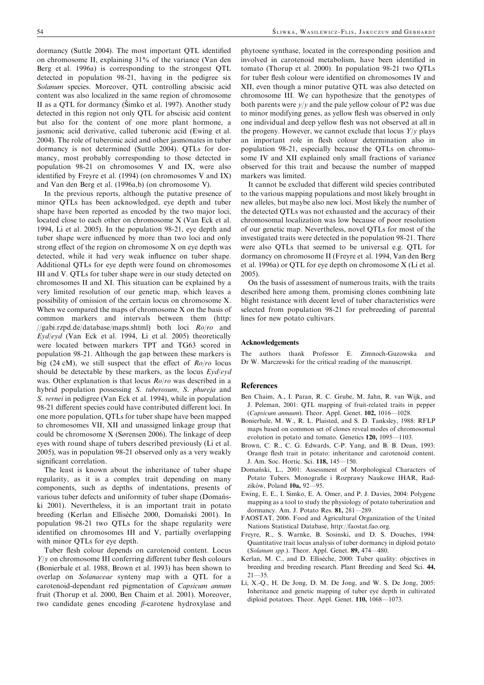dormancy (Suttle 2004). The most important QTL identified on chromosome II, explaining 31% of the variance (Van den Berg et al. 1996a) is corresponding to the strongest QTL detected in population 98-21, having in the pedigree six Solanum species. Moreover, QTL controlling abscisic acid content was also localized in the same region of chromosome II as a QTL for dormancy (Šimko et al. 1997). Another study detected in this region not only QTL for abscisic acid content but also for the content of one more plant hormone, a jasmonic acid derivative, called tuberonic acid (Ewing et al. 2004). The role of tuberonic acid and other jasmonates in tuber dormancy is not determined (Suttle 2004). QTLs for dormancy, most probably corresponding to those detected in population 98-21 on chromosomes V and IX, were also identified by Freyre et al. (1994) (on chromosomes V and IX) and Van den Berg et al. (1996a,b) (on chromosome V).

In the previous reports, although the putative presence of minor QTLs has been acknowledged, eye depth and tuber shape have been reported as encoded by the two major loci, located close to each other on chromosome X (Van Eck et al. 1994, Li et al. 2005). In the population 98-21, eye depth and tuber shape were influenced by more than two loci and only strong effect of the region on chromosome X on eye depth was detected, while it had very weak influence on tuber shape. Additional QTLs for eye depth were found on chromosomes III and V. QTLs for tuber shape were in our study detected on chromosomes II and XI. This situation can be explained by a very limited resolution of our genetic map, which leaves a possibility of omission of the certain locus on chromosome X. When we compared the maps of chromosome X on the basis of common markers and intervals between them (http: //gabi.rzpd.de/database/maps.shtml) both loci Ro/ro and Eyd/eyd (Van Eck et al. 1994, Li et al. 2005) theoretically were located between markers TPT and TG63 scored in population 98-21. Although the gap between these markers is big (24 cM), we still suspect that the effect of  $Ro/ro$  locus should be detectable by these markers, as the locus  $Evd/evd$ was. Other explanation is that locus  $Ro/ro$  was described in a hybrid population possessing S. tuberosum, S. phureja and S. vernei in pedigree (Van Eck et al. 1994), while in population 98-21 different species could have contributed different loci. In one more population, QTLs for tuber shape have been mapped to chromosomes VII, XII and unassigned linkage group that could be chromosome X (Sørensen 2006). The linkage of deep eyes with round shape of tubers described previously (Li et al. 2005), was in population 98-21 observed only as a very weakly significant correlation.

The least is known about the inheritance of tuber shape regularity, as it is a complex trait depending on many components, such as depths of indentations, presents of various tuber defects and uniformity of tuber shape (Doman'ski 2001). Nevertheless, it is an important trait in potato breeding (Kerlan and Ellisèche 2000, Domański 2001). In population 98-21 two QTLs for the shape regularity were identified on chromosomes III and V, partially overlapping with minor OTLs for eye depth.

Tuber flesh colour depends on carotenoid content. Locus  $Y/y$  on chromosome III conferring different tuber flesh colours (Bonierbale et al. 1988, Brown et al. 1993) has been shown to overlap on Solanaceae synteny map with a QTL for a carotenoid-dependant red pigmentation of Capsicum annum fruit (Thorup et al. 2000, Ben Chaim et al. 2001). Moreover, two candidate genes encoding  $\beta$ -carotene hydroxylase and

phytoene synthase, located in the corresponding position and involved in carotenoid metabolism, have been identified in tomato (Thorup et al. 2000). In population 98-21 two QTLs for tuber flesh colour were identified on chromosomes IV and XII, even though a minor putative QTL was also detected on chromosome III. We can hypothesize that the genotypes of both parents were  $y/y$  and the pale yellow colour of P2 was due to minor modifying genes, as yellow flesh was observed in only one individual and deep yellow flesh was not observed at all in the progeny. However, we cannot exclude that locus  $Y/y$  plays an important role in flesh colour determination also in population 98-21, especially because the QTLs on chromosome IV and XII explained only small fractions of variance observed for this trait and because the number of mapped markers was limited.

It cannot be excluded that different wild species contributed to the various mapping populations and most likely brought in new alleles, but maybe also new loci. Most likely the number of the detected QTLs was not exhausted and the accuracy of their chromosomal localization was low because of poor resolution of our genetic map. Nevertheless, novel QTLs for most of the investigated traits were detected in the population 98-21. There were also QTLs that seemed to be universal e.g. QTL for dormancy on chromosome II (Freyre et al. 1994, Van den Berg et al. 1996a) or QTL for eye depth on chromosome X (Li et al. 2005).

On the basis of assessment of numerous traits, with the traits described here among them, promising clones combining late blight resistance with decent level of tuber characteristics were selected from population 98-21 for prebreeding of parental lines for new potato cultivars.

# Acknowledgements

The authors thank Professor E. Zimnoch-Guzowska and Dr W. Marczewski for the critical reading of the manuscript.

#### References

- Ben Chaim, A., I. Paran, R. C. Grube, M. Jahn, R. van Wijk, and J. Peleman, 2001: QTL mapping of fruit-related traits in pepper (Capsicum annuum). Theor. Appl. Genet. 102, 1016—1028.
- Bonierbale, M. W., R. L. Plaisted, and S. D. Tanksley, 1988: RFLP maps based on common set of clones reveal modes of chromosomal evolution in potato and tomato. Genetics 120, 1095—1103.
- Brown, C. R., C. G. Edwards, C-P. Yang, and B. B. Dean, 1993: Orange flesh trait in potato: inheritance and carotenoid content. J. Am. Soc. Hortic. Sci. 118, 145—150.
- Domański, L., 2001: Assessment of Morphological Characters of Potato Tubers. Monografie i Rozprawy Naukowe IHAR, Radzików, Poland 10a, 92-95.
- Ewing, E. E., I. Simko, E. A. Omer, and P. J. Davies, 2004: Polygene mapping as a tool to study the physiology of potato tuberization and dormancy. Am. J. Potato Res. 81, 281—289.
- FAOSTAT, 2006. Food and Agricultural Organization of the United Nations Statistical Database, http://faostat.fao.org.
- Freyre, R., S. Warnke, B. Sosinski, and D. S. Douches, 1994: Quantitative trait locus analysis of tuber dormancy in diploid potato (Solanum spp.). Theor. Appl. Genet. 89, 474—480.
- Kerlan, M. C., and D. Ellisèche, 2000: Tuber quality: objectives in breeding and breeding research. Plant Breeding and Seed Sci. 44,  $21 - 35$ .
- Li, X.-Q., H. De Jong, D. M. De Jong, and W. S. De Jong, 2005: Inheritance and genetic mapping of tuber eye depth in cultivated diploid potatoes. Theor. Appl. Genet. 110, 1068—1073.